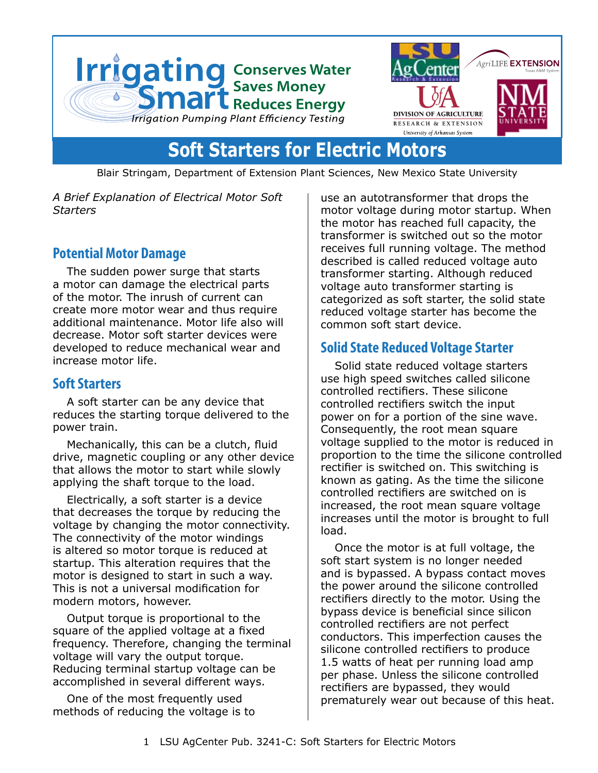



# **Soft Starters for Electric Motors**

Blair Stringam, Department of Extension Plant Sciences, New Mexico State University

*A Brief Explanation of Electrical Motor Soft Starters*

## **Potential Motor Damage**

The sudden power surge that starts a motor can damage the electrical parts of the motor. The inrush of current can create more motor wear and thus require additional maintenance. Motor life also will decrease. Motor soft starter devices were developed to reduce mechanical wear and increase motor life.

#### **Soft Starters**

A soft starter can be any device that reduces the starting torque delivered to the power train.

Mechanically, this can be a clutch, fluid drive, magnetic coupling or any other device that allows the motor to start while slowly applying the shaft torque to the load.

Electrically, a soft starter is a device that decreases the torque by reducing the voltage by changing the motor connectivity. The connectivity of the motor windings is altered so motor torque is reduced at startup. This alteration requires that the motor is designed to start in such a way. This is not a universal modification for modern motors, however.

Output torque is proportional to the square of the applied voltage at a fixed frequency. Therefore, changing the terminal voltage will vary the output torque. Reducing terminal startup voltage can be accomplished in several different ways.

One of the most frequently used methods of reducing the voltage is to use an autotransformer that drops the motor voltage during motor startup. When the motor has reached full capacity, the transformer is switched out so the motor receives full running voltage. The method described is called reduced voltage auto transformer starting. Although reduced voltage auto transformer starting is categorized as soft starter, the solid state reduced voltage starter has become the common soft start device.

## **Solid State Reduced Voltage Starter**

Solid state reduced voltage starters use high speed switches called silicone controlled rectifiers. These silicone controlled rectifiers switch the input power on for a portion of the sine wave. Consequently, the root mean square voltage supplied to the motor is reduced in proportion to the time the silicone controlled rectifier is switched on. This switching is known as gating. As the time the silicone controlled rectifiers are switched on is increased, the root mean square voltage increases until the motor is brought to full load.

Once the motor is at full voltage, the soft start system is no longer needed and is bypassed. A bypass contact moves the power around the silicone controlled rectifiers directly to the motor. Using the bypass device is beneficial since silicon controlled rectifiers are not perfect conductors. This imperfection causes the silicone controlled rectifiers to produce 1.5 watts of heat per running load amp per phase. Unless the silicone controlled rectifiers are bypassed, they would prematurely wear out because of this heat.